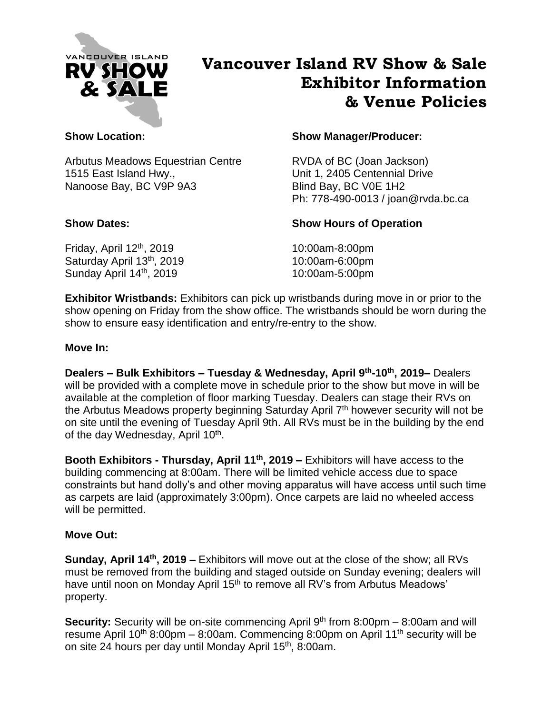

# **Vancouver Island RV Show & Sale Exhibitor Information & Venue Policies**

Arbutus Meadows Equestrian Centre RVDA of BC (Joan Jackson) 1515 East Island Hwy., Unit 1, 2405 Centennial Drive Nanoose Bay, BC V9P 9A3 Blind Bay, BC V0E 1H2

Friday, April 12<sup>th</sup>, 2019 Saturday April 13<sup>th</sup>, 2019 Sunday April 14<sup>th</sup>, 2019

### **Show Location: Show Manager/Producer:**

Ph: 778-490-0013 / joan@rvda.bc.ca

## **Show Dates: Show Hours of Operation**

10:00am-8:00pm 10:00am-6:00pm 10:00am-5:00pm

**Exhibitor Wristbands:** Exhibitors can pick up wristbands during move in or prior to the show opening on Friday from the show office. The wristbands should be worn during the show to ensure easy identification and entry/re-entry to the show.

### **Move In:**

**Dealers – Bulk Exhibitors – Tuesday & Wednesday, April 9 th-10 th, 2019–** Dealers will be provided with a complete move in schedule prior to the show but move in will be available at the completion of floor marking Tuesday. Dealers can stage their RVs on the Arbutus Meadows property beginning Saturday April  $7<sup>th</sup>$  however security will not be on site until the evening of Tuesday April 9th. All RVs must be in the building by the end of the day Wednesday, April 10<sup>th</sup>.

**Booth Exhibitors - Thursday, April 11<sup>th</sup>, 2019 – Exhibitors will have access to the** building commencing at 8:00am. There will be limited vehicle access due to space constraints but hand dolly's and other moving apparatus will have access until such time as carpets are laid (approximately 3:00pm). Once carpets are laid no wheeled access will be permitted.

#### **Move Out:**

**Sunday, April 14<sup>th</sup>, 2019 –** Exhibitors will move out at the close of the show; all RVs must be removed from the building and staged outside on Sunday evening; dealers will have until noon on Monday April 15<sup>th</sup> to remove all RV's from Arbutus Meadows' property.

Security: Security will be on-site commencing April 9<sup>th</sup> from 8:00pm - 8:00am and will resume April 10<sup>th</sup> 8:00pm – 8:00am. Commencing 8:00pm on April 11<sup>th</sup> security will be on site 24 hours per day until Monday April 15<sup>th</sup>, 8:00am.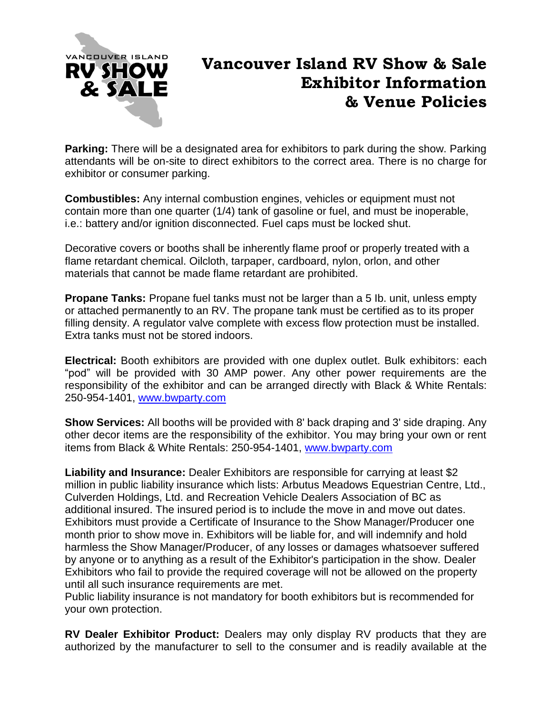

# **Vancouver Island RV Show & Sale Exhibitor Information & Venue Policies**

**Parking:** There will be a designated area for exhibitors to park during the show. Parking attendants will be on-site to direct exhibitors to the correct area. There is no charge for exhibitor or consumer parking.

**Combustibles:** Any internal combustion engines, vehicles or equipment must not contain more than one quarter (1/4) tank of gasoline or fuel, and must be inoperable, i.e.: battery and/or ignition disconnected. Fuel caps must be locked shut.

Decorative covers or booths shall be inherently flame proof or properly treated with a flame retardant chemical. Oilcloth, tarpaper, cardboard, nylon, orlon, and other materials that cannot be made flame retardant are prohibited.

**Propane Tanks:** Propane fuel tanks must not be larger than a 5 lb. unit, unless empty or attached permanently to an RV. The propane tank must be certified as to its proper filling density. A regulator valve complete with excess flow protection must be installed. Extra tanks must not be stored indoors.

**Electrical:** Booth exhibitors are provided with one duplex outlet. Bulk exhibitors: each "pod" will be provided with 30 AMP power. Any other power requirements are the responsibility of the exhibitor and can be arranged directly with Black & White Rentals: 250-954-1401, [www.bwparty.com](http://www.bwparty.com/)

**Show Services:** All booths will be provided with 8' back draping and 3' side draping. Any other decor items are the responsibility of the exhibitor. You may bring your own or rent items from Black & White Rentals: 250-954-1401, [www.bwparty.com](http://www.bwparty.com/)

**Liability and Insurance:** Dealer Exhibitors are responsible for carrying at least \$2 million in public liability insurance which lists: Arbutus Meadows Equestrian Centre, Ltd., Culverden Holdings, Ltd. and Recreation Vehicle Dealers Association of BC as additional insured. The insured period is to include the move in and move out dates. Exhibitors must provide a Certificate of Insurance to the Show Manager/Producer one month prior to show move in. Exhibitors will be liable for, and will indemnify and hold harmless the Show Manager/Producer, of any losses or damages whatsoever suffered by anyone or to anything as a result of the Exhibitor's participation in the show. Dealer Exhibitors who fail to provide the required coverage will not be allowed on the property until all such insurance requirements are met.

Public liability insurance is not mandatory for booth exhibitors but is recommended for your own protection.

**RV Dealer Exhibitor Product:** Dealers may only display RV products that they are authorized by the manufacturer to sell to the consumer and is readily available at the